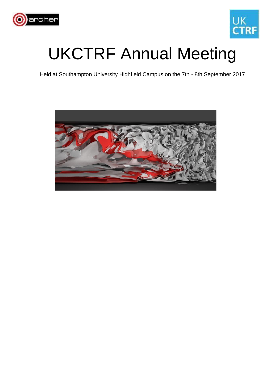



## UKCTRF Annual Meeting

Held at Southampton University Highfield Campus on the 7th - 8th September 2017

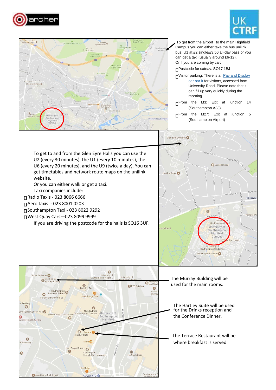





To get from the airport to the main Highfield Campus you can either take the bus unilink bus: U1 at £2 single/£3.50 all-day pass or you can get a taxi (usually around £6-12). Or if you are coming by car:

Postcode for satnav: SO17 1BJ

- ⊓Visitor parking: There is a [Pay and Display](https://www.southampton.ac.uk/sites/transport/parking/visitor-parking.page) [car par](https://www.southampton.ac.uk/sites/transport/parking/visitor-parking.page) k for visitor[s, a](https://www.southampton.ac.uk/sites/transport/parking/visitor-parking.page)ccessed from Univer[sity](https://www.southampton.ac.uk/sites/transport/parking/visitor-parking.page) Road. Please note that it can fill up very quickly during the morning.
- ∏From the M3: Exit at junction 14 (Southampton A33)
- $\Pi$ From the M27: Exit at junction 5 (Southampton Airport)

To get to and from the Glen Eyre Halls you can use the U2 (every 30 minutes), the U1 (every 10 minutes), the U6 (every 20 minutes), and the U9 (twice a day). You can get timetables and network route maps on the unilink website.

Or you can either walk or get a taxi.

Taxi companies include:

Radio Taxis - 023 8066 6666

Aero taxis - 023 8001 0203

Southampton Taxi - 023 8022 9292

West Quay Cars—023 8099 9999

If you are driving the postcode for the halls is SO16 3UF.



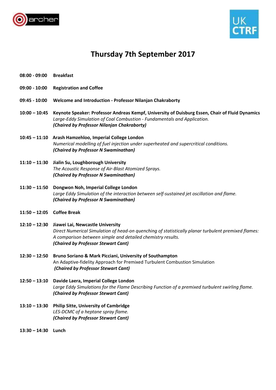



## **Thursday 7th September 2017**

- **08:00 - 09:00 Breakfast**
- **09:00 - 10:00 Registration and Coffee**
- **09:45 - 10:00 Welcome and Introduction - Professor Nilanjan Chakraborty**
- **10:00 – 10:45 Keynote Speaker: Professor Andreas Kempf, University of Duisburg Essen, Chair of Fluid Dynamics**  *Large-Eddy Simulation of Coal Combustion - Fundamentals and Application. (Chaired by Professor Nilanjan Chakraborty)*
- **10:45 – 11:10 Arash Hamzehloo, Imperial College London**  *Numerical modelling of fuel injection under superheated and supercritical conditions. (Chaired by Professor N Swaminathan)*
- **11:10 – 11:30 Jialin Su, Loughborough University**  *The Acoustic Response of Air-Blast Atomized Sprays. (Chaired by Professor N Swaminathan)*
- **11:30 – 11:50 Dongwon Noh, Imperial College London**  *Large Eddy Simulation of the interaction between self-sustained jet oscillation and flame. (Chaired by Professor N Swaminathan)*
- **11:50 – 12:05 Coffee Break**
- **12:10 – 12:30 Jiawei Lai, Newcastle University**  *Direct Numerical Simulation of head-on quenching of statistically planar turbulent premixed flames: A comparison between simple and detailed chemistry results. (Chaired by Professor Stewart Cant)*
- **12:30 – 12:50 Bruno Soriano & Mark Picciani, University of Southampton**  An Adaptive-fidelity Approach for Premixed Turbulent Combustion Simulation *(Chaired by Professor Stewart Cant)*
- **12:50 – 13:10 Davide Laera, Imperial College London**  *Large Eddy Simulations for the Flame Describing Function of a premixed turbulent swirling flame. (Chaired by Professor Stewart Cant)*
- **13:10 – 13:30 Philip Sitte, University of Cambridge**  *LES-DCMC of a heptane spray flame. (Chaired by Professor Stewart Cant)*
- **13:30 – 14:30 Lunch**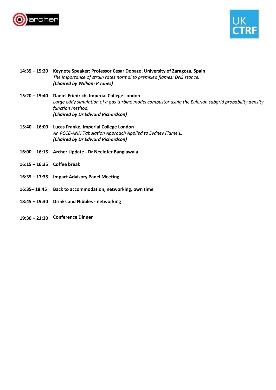



- **14:35 – 15:20 Keynote Speaker: Professor Cesar Dopazo, University of Zaragoza, Spain**  *The importance of strain rates normal to premixed flames: DNS stance. (Chaired by William P Jones)*  **15:20 – 15:40 Daniel Friedrich, Imperial College London**  *Large eddy simulation of a gas turbine model combustor using the Eulerian subgrid probability density function method. (Chaired by Dr Edward Richardson)*  **15:40 – 16:00 Lucas Franke, Imperial College London**  *An RCCE-ANN Tabulation Approach Applied to Sydney Flame L. (Chaired by Dr Edward Richardson)*  **16:00 – 16:15 Archer Update - Dr Neelofer Banglawala 16:15 – 16:35 Coffee break 16:35 – 17:35 Impact Advisory Panel Meeting 16:35– 18:45 Back to accommodation, networking, own time 18:45 – 19:30 Drinks and Nibbles - networking**
- **19:30 – 21:30 Conference Dinner**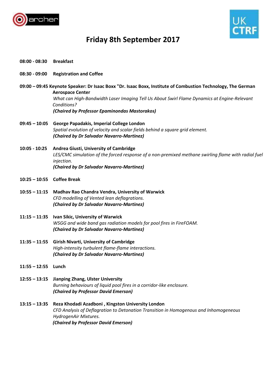



## **Friday 8th September 2017**

- **08:00 - 08:30 Breakfast**
- **08:30 - 09:00 Registration and Coffee**
- **09:00 – 09:45 Keynote Speaker: Dr Isaac Boxx "Dr. Isaac Boxx, Institute of Combustion Technology, The German Aerospace Center**  *What can High-Bandwidth Laser Imaging Tell Us About Swirl Flame Dynamics at Engine-Relevant Conditions? (Chaired by Professor Epaminondas Mastorakos)*
- **09:45 – 10:05 George Papadakis, Imperial College London**  *Spatial evolution of velocity and scalar fields behind a square grid element. (Chaired by Dr Salvador Navarro-Martinez)*
- **10:05 - 10:25 Andrea Giusti, University of Cambridge**  *LES/CMC simulation of the forced response of a non-premixed methane swirling flame with radial fuel injection. (Chaired by Dr Salvador Navarro-Martinez)*
- **10:25 – 10:55 Coffee Break**
- **10:55 – 11:15 Madhav Rao Chandra Vendra, University of Warwick**  *CFD modelling of Vented lean deflagrations. (Chaired by Dr Salvador Navarro-Martinez)*
- **11:15 – 11:35 Ivan Sikic, University of Warwick**  *WSGG and wide band gas radiation models for pool fires in FireFOAM. (Chaired by Dr Salvador Navarro-Martinez)*
- **11:35 – 11:55 Girish Nivarti, University of Cambridge**  *High-intensity turbulent flame-flame interactions. (Chaired by Dr Salvador Navarro-Martinez)*
- **11:55 – 12:55 Lunch**
- **12:55 – 13:15 Jianping Zhang, Ulster University**  *Burning behaviours of liquid pool fires in a corridor-like enclosure. (Chaired by Professor David Emerson)*
- **13:15 – 13:35 Reza Khodadi Azadboni , Kingston University London**  *CFD Analysis of Deflagration to Detonation Transition in Homogenous and Inhomogeneous HydrogenAir Mixtures. (Chaired by Professor David Emerson)*